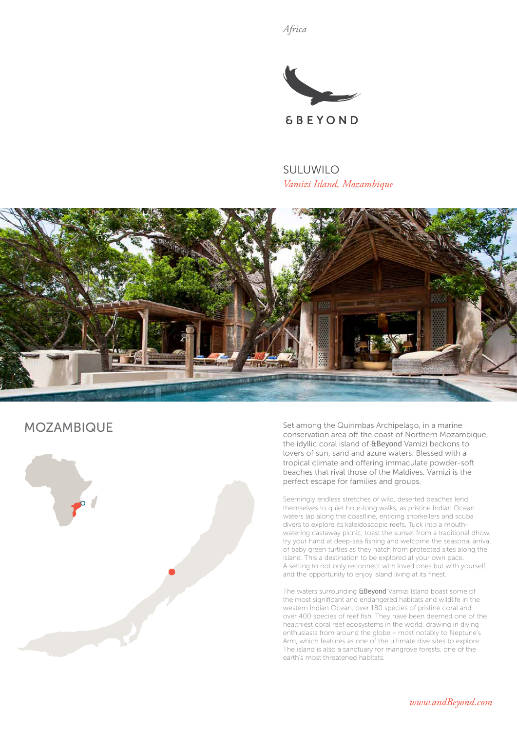*Africa*



SULUWILO *Vamizi Island, Mozambique*



# MOZAMBIQUE



Set among the Quirimbas Archipelago, in a marine conservation area off the coast of Northern Mozambique, the idyllic coral island of &Beyond Vamizi beckons to lovers of sun, sand and azure waters. Blessed with a tropical climate and offering immaculate powder-soft beaches that rival those of the Maldives, Vamizi is the perfect escape for families and groups.

Seemingly endless stretches of wild, deserted beaches lend themselves to quiet hour-long walks, as pristine Indian Ocean waters lap along the coastline, enticing snorkellers and scuba divers to explore its kaleidoscopic reefs. Tuck into a mouthwatering castaway picnic, toast the sunset from a traditional dhow, try your hand at deep-sea fishing and welcome the seasonal arrival of baby green turtles as they hatch from protected sites along the island. This a destination to be explored at your own pace. A setting to not only reconnect with loved ones but with yourself, and the opportunity to enjoy island living at its finest.

The waters surrounding **&Beyond** Vamizi Island boast some of the most significant and endangered habitats and wildlife in the western Indian Ocean, over 180 species of pristine coral and over 400 species of reef fish. They have been deemed one of the healthiest coral reef ecosystems in the world, drawing in diving enthusiasts from around the globe – most notably to Neptune's Arm, which features as one of the ultimate dive sites to explore. The island is also a sanctuary for mangrove forests, one of the earth's most threatened habitats.

*www.andBeyond.com*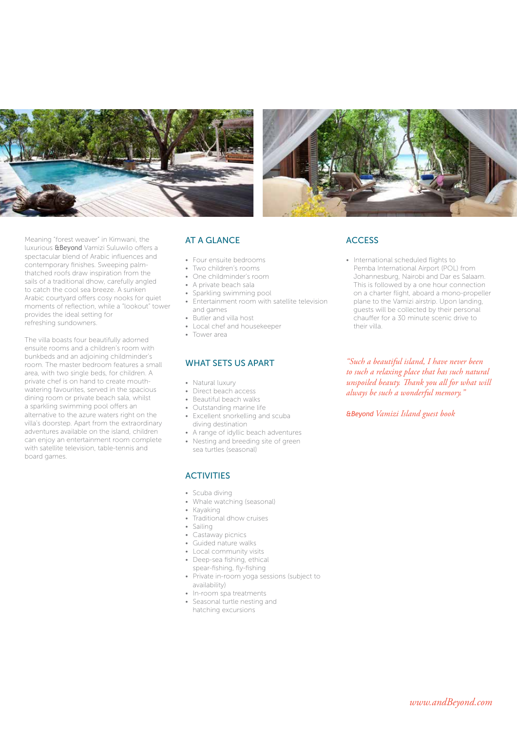



Meaning "forest weaver" in Kimwani, the luxurious &Beyond Vamizi Suluwilo offers a spectacular blend of Arabic influences and contemporary finishes. Sweeping palmthatched roofs draw inspiration from the sails of a traditional dhow, carefully angled to catch the cool sea breeze. A sunken Arabic courtyard offers cosy nooks for quiet moments of reflection, while a "lookout" tower provides the ideal setting for refreshing sundowners.

The villa boasts four beautifully adorned ensuite rooms and a children's room with bunkbeds and an adjoining childminder's room. The master bedroom features a small area, with two single beds, for children. A private chef is on hand to create mouthwatering favourites, served in the spacious dining room or private beach sala, whilst a sparkling swimming pool offers an alternative to the azure waters right on the villa's doorstep. Apart from the extraordinary adventures available on the island, children can enjoy an entertainment room complete with satellite television, table-tennis and board games.

## AT A GLANCE

- Four ensuite bedrooms
- Two children's rooms
- One childminder's room
- A private beach sala
- Sparkling swimming pool
- Entertainment room with satellite television and games
- Butler and villa host
- Local chef and housekeeper
- Tower area

#### WHAT SETS US APART

- Natural luxury
- Direct beach access
- Beautiful beach walks
- Outstanding marine life
- Excellent snorkelling and scuba diving destination
- A range of idyllic beach adventures
- Nesting and breeding site of green sea turtles (seasonal)

#### **ACTIVITIES**

- Scuba diving
- Whale watching (seasonal)
- Kayaking
- Traditional dhow cruises
- Sailing
- Castaway picnics
- Guided nature walks
- Local community visits
- Deep-sea fishing, ethical
- spear-fishing, fly-fishing • Private in-room yoga sessions (subject to
- availability)
- In-room spa treatments
- Seasonal turtle nesting and hatching excursions

## **ACCESS**

• International scheduled flights to Pemba International Airport (POL) from Johannesburg, Nairobi and Dar es Salaam. This is followed by a one hour connection on a charter flight, aboard a mono-propeller plane to the Vamizi airstrip. Upon landing, guests will be collected by their personal chauffer for a 30 minute scenic drive to their villa.

*"Such a beautiful island, I have never been to such a relaxing place that has such natural unspoiled beauty. Thank you all for what will always be such a wonderful memory."*

*&Beyond Vamizi Island guest book*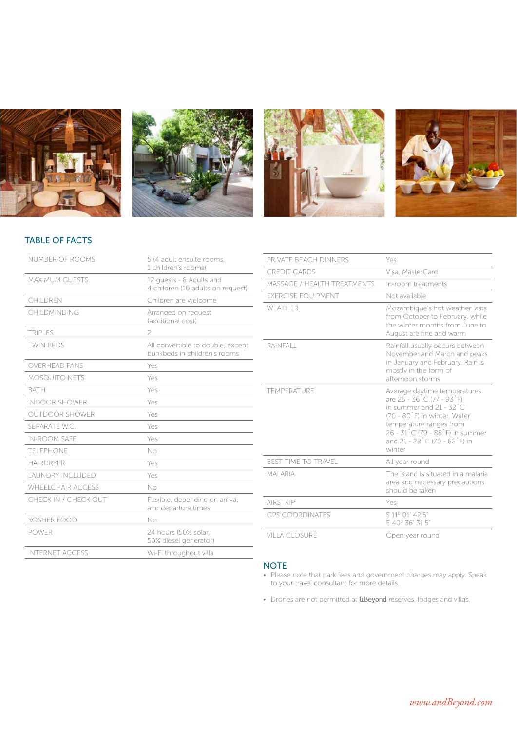







## TABLE OF FACTS

| NUMBER OF ROOMS         | 5 (4 adult ensuite rooms,<br>1 children's rooms)                  |
|-------------------------|-------------------------------------------------------------------|
| <b>MAXIMUM GUESTS</b>   | 12 quests - 8 Adults and<br>4 children (10 adults on request)     |
| CHILDREN                | Children are welcome                                              |
| CHILDMINDING            | Arranged on request<br>(additional cost)                          |
| <b>TRIPLES</b>          | 2                                                                 |
| <b>TWIN BEDS</b>        | All convertible to double, except<br>bunkbeds in children's rooms |
| <b>OVERHEAD FANS</b>    | Yes                                                               |
| <b>MOSQUITO NETS</b>    | Yes                                                               |
| <b>BATH</b>             | Yes                                                               |
| <b>INDOOR SHOWER</b>    | Yes                                                               |
| <b>OUTDOOR SHOWER</b>   | Yes                                                               |
| SEPARATE W.C.           | Yes                                                               |
| <b>IN-ROOM SAFE</b>     | Yes                                                               |
| TFI FPHONE              | No                                                                |
| HAIRDRYFR               | Yes                                                               |
| <b>LAUNDRY INCLUDED</b> | Yes                                                               |
| WHEEL CHAIR ACCESS      | No                                                                |
| CHECK IN / CHECK OUT    | Flexible, depending on arrival<br>and departure times             |
| <b>KOSHER FOOD</b>      | $N_{\Omega}$                                                      |
| <b>POWER</b>            | 24 hours (50% solar.<br>50% diesel generator)                     |
| <b>INTERNET ACCESS</b>  | Wi-Fi throughout villa                                            |

| PRIVATE BEACH DINNERS            | Yes                                                                                                                                                                                                                                        |
|----------------------------------|--------------------------------------------------------------------------------------------------------------------------------------------------------------------------------------------------------------------------------------------|
| <b>CREDIT CARDS</b>              | Visa, MasterCard                                                                                                                                                                                                                           |
| MASSAGE / HEALTH TREATMENTS      | In-room treatments                                                                                                                                                                                                                         |
| <b><i>EXERCISE EQUIPMENT</i></b> | Not available                                                                                                                                                                                                                              |
| WFATHER                          | Mozambique's hot weather lasts<br>from October to February, while<br>the winter months from June to<br>August are fine and warm                                                                                                            |
| RAINFALL                         | Rainfall usually occurs between<br>November and March and peaks<br>in January and February. Rain is<br>mostly in the form of<br>afternoon storms                                                                                           |
| TEMPERATURE                      | Average daytime temperatures<br>are 25 - 36 °C (77 - 93 °F)<br>in summer and $21 - 32^{\circ}$ C<br>(70 - 80°F) in winter. Water<br>temperature ranges from<br>26 - 31°C (79 - 88°F) in summer<br>and 21 - 28 °C (70 - 82 °F) in<br>winter |
| <b>BEST TIME TO TRAVEL</b>       | All year round                                                                                                                                                                                                                             |
| <b>MAI ARIA</b>                  | The island is situated in a malaria<br>area and necessary precautions<br>should be taken                                                                                                                                                   |
| <b>AIRSTRIP</b>                  | Yes                                                                                                                                                                                                                                        |
| <b>GPS COORDINATES</b>           | S 11º 01' 42.5"<br>F 40° 36' 31.5"                                                                                                                                                                                                         |
| VILLA CLOSURE                    | Open year round                                                                                                                                                                                                                            |

## **NOTE**

- Please note that park fees and government charges may apply. Speak to your travel consultant for more details.
- Drones are not permitted at **&Beyond** reserves, lodges and villas.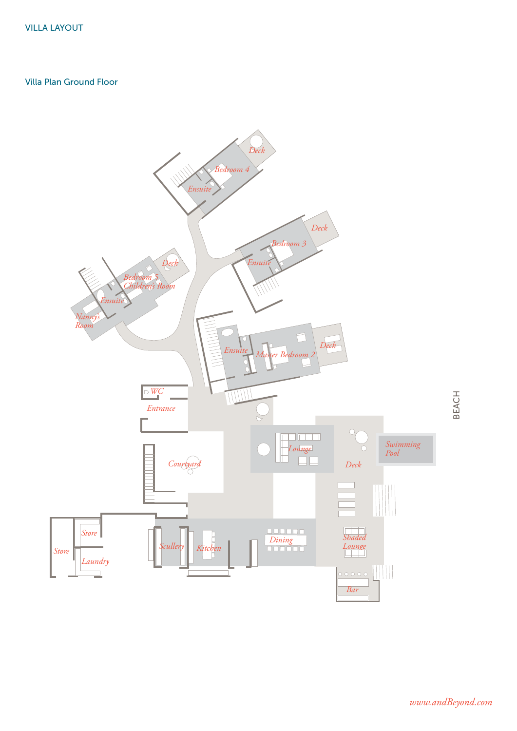## Villa Plan Ground Floor



BEACH